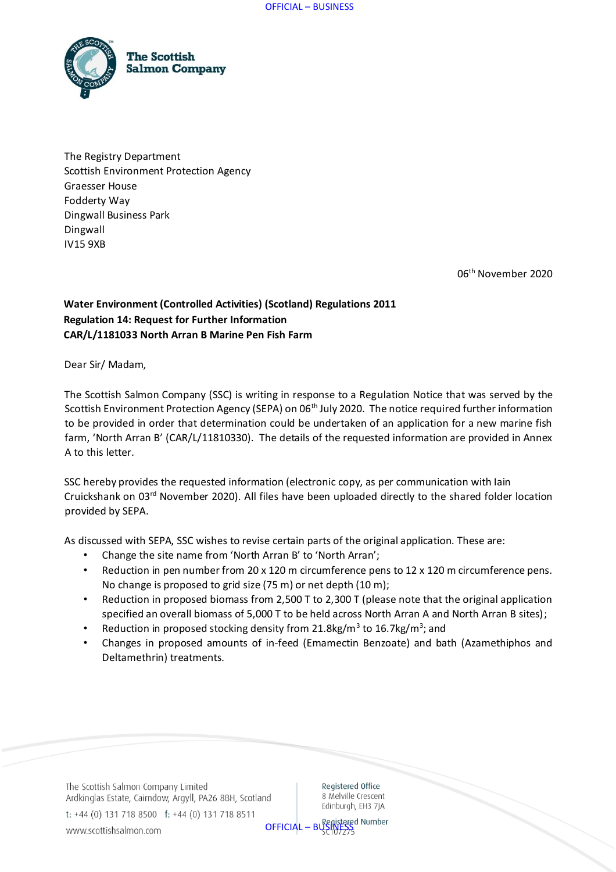

The Registry Department Scottish Environment Protection Agency Graesser House Fodderty Way Dingwall Business Park Dingwall IV15 9XB

06th November 2020

## **Water Environment (Controlled Activities) (Scotland) Regulations 2011 Regulation 14: Request for Further Information CAR/L/1181033 North Arran B Marine Pen Fish Farm**

Dear Sir/ Madam,

The Scottish Salmon Company (SSC) is writing in response to a Regulation Notice that was served by the Scottish Environment Protection Agency (SEPA) on 06<sup>th</sup> July 2020. The notice required further information to be provided in order that determination could be undertaken of an application for a new marine fish farm, 'North Arran B' (CAR/L/11810330). The details of the requested information are provided in Annex A to this letter.

SSC hereby provides the requested information (electronic copy, as per communication with Iain Cruickshank on 03rd November 2020). All files have been uploaded directly to the shared folder location provided by SEPA.

As discussed with SEPA, SSC wishes to revise certain parts of the original application. These are:

- Change the site name from 'North Arran B' to 'North Arran';
- Reduction in pen number from 20 x 120 m circumference pens to 12 x 120 m circumference pens. No change is proposed to grid size (75 m) or net depth (10 m);
- Reduction in proposed biomass from 2,500 T to 2,300 T (please note that the original application specified an overall biomass of 5,000 T to be held across North Arran A and North Arran B sites);
- Reduction in proposed stocking density from 21.8kg/ $m^3$  to 16.7kg/ $m^3$ ; and
- Changes in proposed amounts of in-feed (Emamectin Benzoate) and bath (Azamethiphos and Deltamethrin) treatments.

The Scottish Salmon Company Limited Ardkinglas Estate, Cairndow, Argyll, PA26 8BH, Scotland t: +44 (0) 131 718 8500 f: +44 (0) 131 718 8511

Registered Office 8 Melville Crescent Edinburgh, EH3 7IA

OFFICIAL – BUSINESS

www.scottishsalmon.com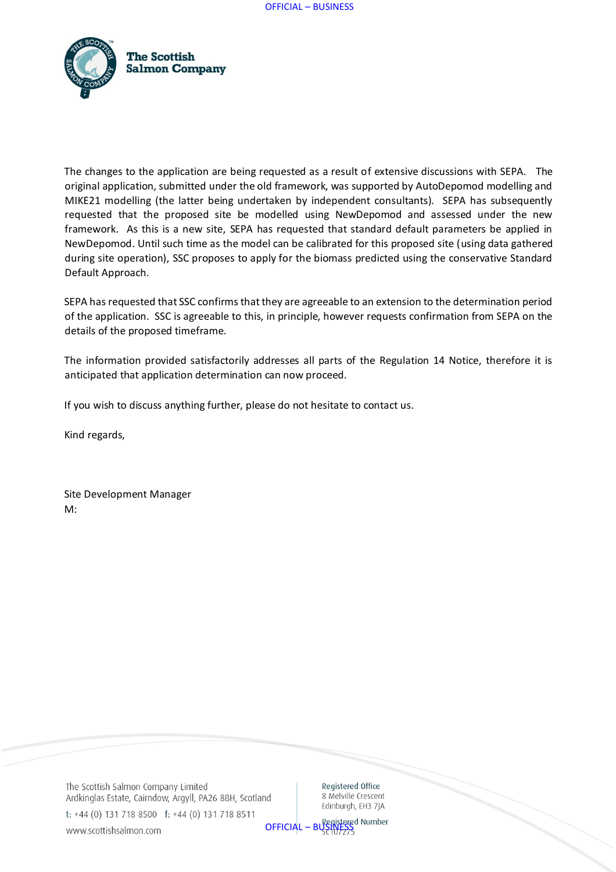

The changes to the application are being requested as a result of extensive discussions with SEPA. The original application, submitted under the old framework, was supported by AutoDepomod modelling and MIKE21 modelling (the latter being undertaken by independent consultants). SEPA has subsequently requested that the proposed site be modelled using NewDepomod and assessed under the new framework. As this is a new site, SEPA has requested that standard default parameters be applied in NewDepomod. Until such time as the model can be calibrated for this proposed site (using data gathered during site operation), SSC proposes to apply for the biomass predicted using the conservative Standard Default Approach.

SEPA has requested that SSC confirms that they are agreeable to an extension to the determination period of the application. SSC is agreeable to this, in principle, however requests confirmation from SEPA on the details of the proposed timeframe.

The information provided satisfactorily addresses all parts of the Regulation 14 Notice, therefore it is anticipated that application determination can now proceed.

If you wish to discuss anything further, please do not hesitate to contact us.

Kind regards,

Site Development Manager M:

The Scottish Salmon Company Limited Ardkinglas Estate, Cairndow, Argyll, PA26 8BH, Scotland t: +44 (0) 131 718 8500 f: +44 (0) 131 718 8511

Registered Office 8 Melville Crescent Edinburgh, EH3 7IA

OFFICIAL – BUSINESS

www.scottishsalmon.com